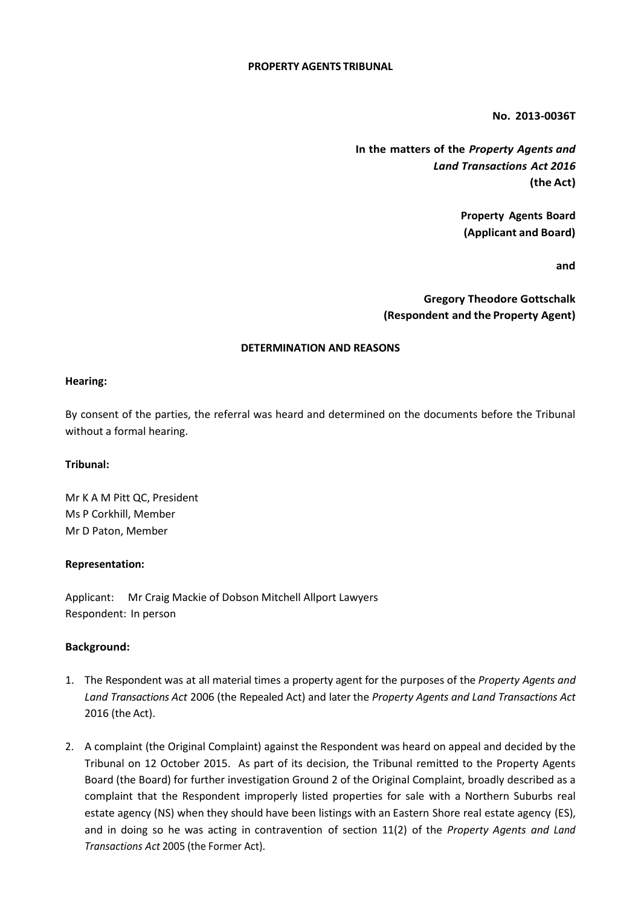## **PROPERTY AGENTS TRIBUNAL**

**No. 2013-0036T**

**In the matters of the** *Property Agents and Land Transactions Act 2016* **(the Act)**

> **Property Agents Board (Applicant and Board)**

> > **and**

**Gregory Theodore Gottschalk (Respondent and the Property Agent)**

## **DETERMINATION AND REASONS**

## **Hearing:**

By consent of the parties, the referral was heard and determined on the documents before the Tribunal without a formal hearing.

# **Tribunal:**

Mr K A M Pitt QC, President Ms P Corkhill, Member Mr D Paton, Member

#### **Representation:**

Applicant: Mr Craig Mackie of Dobson Mitchell Allport Lawyers Respondent: In person

# **Background:**

- 1. The Respondent was at all material times a property agent for the purposes of the *Property Agents and Land Transactions Act* 2006 (the Repealed Act) and later the *Property Agents and Land Transactions Act*  2016 (the Act).
- 2. A complaint (the Original Complaint) against the Respondent was heard on appeal and decided by the Tribunal on 12 October 2015. As part of its decision, the Tribunal remitted to the Property Agents Board (the Board) for further investigation Ground 2 of the Original Complaint, broadly described as a complaint that the Respondent improperly listed properties for sale with a Northern Suburbs real estate agency (NS) when they should have been listings with an Eastern Shore real estate agency (ES), and in doing so he was acting in contravention of section 11(2) of the *Property Agents and Land Transactions Act* 2005 (the Former Act).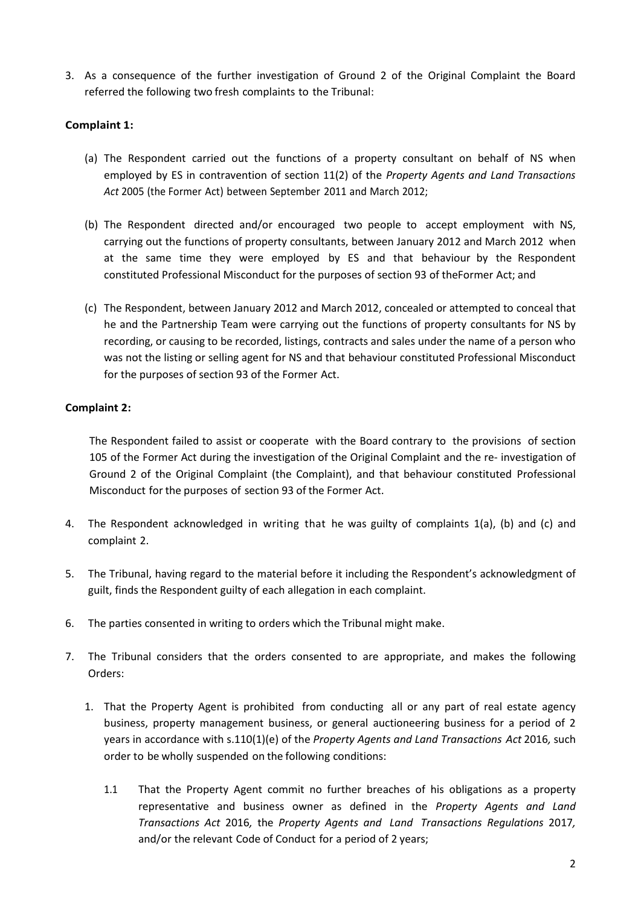3. As a consequence of the further investigation of Ground 2 of the Original Complaint the Board referred the following two fresh complaints to the Tribunal:

# **Complaint 1:**

- (a) The Respondent carried out the functions of a property consultant on behalf of NS when employed by ES in contravention of section 11(2) of the *Property Agents and Land Transactions Act* 2005 (the Former Act) between September 2011 and March 2012;
- (b) The Respondent directed and/or encouraged two people to accept employment with NS, carrying out the functions of property consultants, between January 2012 and March 2012 when at the same time they were employed by ES and that behaviour by the Respondent constituted Professional Misconduct for the purposes of section 93 of theFormer Act; and
- (c) The Respondent, between January 2012 and March 2012, concealed or attempted to conceal that he and the Partnership Team were carrying out the functions of property consultants for NS by recording, or causing to be recorded, listings, contracts and sales under the name of a person who was not the listing or selling agent for NS and that behaviour constituted Professional Misconduct for the purposes of section 93 of the Former Act.

# **Complaint 2:**

The Respondent failed to assist or cooperate with the Board contrary to the provisions of section 105 of the Former Act during the investigation of the Original Complaint and the re- investigation of Ground 2 of the Original Complaint (the Complaint), and that behaviour constituted Professional Misconduct for the purposes of section 93 of the Former Act.

- 4. The Respondent acknowledged in writing that he was guilty of complaints 1(a), (b) and (c) and complaint 2.
- 5. The Tribunal, having regard to the material before it including the Respondent's acknowledgment of guilt, finds the Respondent guilty of each allegation in each complaint.
- 6. The parties consented in writing to orders which the Tribunal might make.
- 7. The Tribunal considers that the orders consented to are appropriate, and makes the following Orders:
	- 1. That the Property Agent is prohibited from conducting all or any part of real estate agency business, property management business, or general auctioneering business for a period of 2 years in accordance with s.110(1)(e) of the *Property Agents and Land Transactions Act* 2016*,* such order to be wholly suspended on the following conditions:
		- 1.1 That the Property Agent commit no further breaches of his obligations as a property representative and business owner as defined in the *Property Agents and Land Transactions Act* 2016*,* the *Property Agents and Land Transactions Regulations* 2017*,* and/or the relevant Code of Conduct for a period of 2 years;